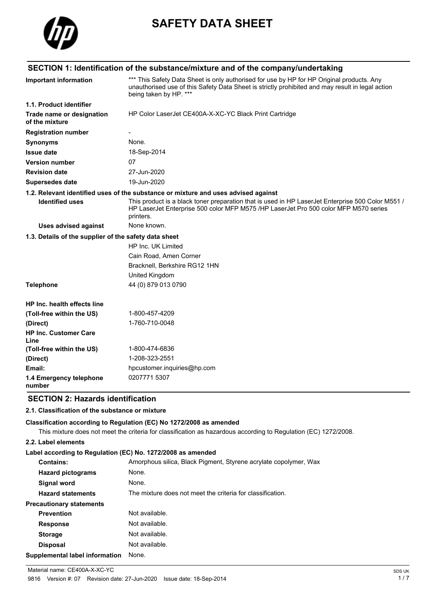

# **SAFETY DATA SHEET**

### **SECTION 1: Identification of the substance/mixture and of the company/undertaking** \*\*\* This Safety Data Sheet is only authorised for use by HP for HP Original products. Any unauthorised use of this Safety Data Sheet is strictly prohibited and may result in legal action being taken by HP. \*\*\* **Important information 1.1. Product identifier Trade name or designation of the mixture** HP Color LaserJet CE400A-X-XC-YC Black Print Cartridge **Registration number Synonyms** None. **Issue date** 18-Sep-2014 **Version number** 07 **Revision date** 27-Jun-2020 **Supersedes date** 19-Jun-2020 **1.2. Relevant identified uses of the substance or mixture and uses advised against** This product is a black toner preparation that is used in HP LaserJet Enterprise 500 Color M551 / HP LaserJet Enterprise 500 color MFP M575 /HP LaserJet Pro 500 color MFP M570 series printers. **Identified uses Uses advised against** None known. **1.3. Details of the supplier of the safety data sheet** HP Inc. UK Limited Cain Road, Amen Corner Bracknell, Berkshire RG12 1HN United Kingdom **Telephone** 44 (0) 879 013 0790 **HP Inc. health effects line (Toll-free within the US)** 1-800-457-4209 **(Direct)** 1-760-710-0048 **HP Inc. Customer Care Line (Toll-free within the US)** 1-800-474-6836 **(Direct)** 1-208-323-2551 **Email:** hpcustomer.inquiries@hp.com

### **SECTION 2: Hazards identification**

#### **2.1. Classification of the substance or mixture**

**1.4 Emergency telephone** 0207771 5307

#### **Classification according to Regulation (EC) No 1272/2008 as amended**

This mixture does not meet the criteria for classification as hazardous according to Regulation (EC) 1272/2008.

#### **2.2. Label elements**

**number**

#### **Label according to Regulation (EC) No. 1272/2008 as amended**

| <b>Contains:</b>                | Amorphous silica, Black Pigment, Styrene acrylate copolymer, Wax |
|---------------------------------|------------------------------------------------------------------|
| <b>Hazard pictograms</b>        | None.                                                            |
| <b>Signal word</b>              | None.                                                            |
| <b>Hazard statements</b>        | The mixture does not meet the criteria for classification.       |
| <b>Precautionary statements</b> |                                                                  |
| <b>Prevention</b>               | Not available.                                                   |
| <b>Response</b>                 | Not available.                                                   |
| <b>Storage</b>                  | Not available.                                                   |
| <b>Disposal</b>                 | Not available.                                                   |
| Supplemental label information  | None.                                                            |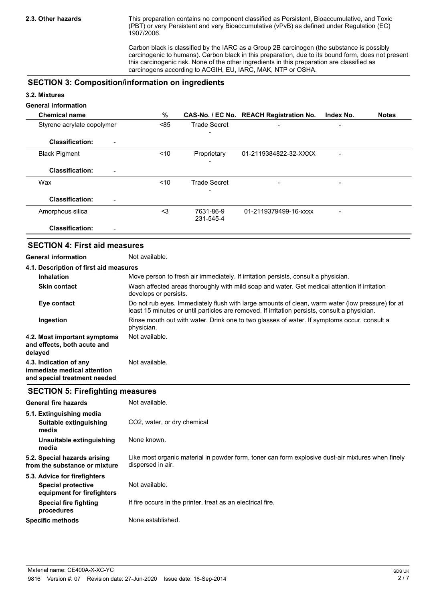This preparation contains no component classified as Persistent, Bioaccumulative, and Toxic (PBT) or very Persistent and very Bioaccumulative (vPvB) as defined under Regulation (EC) 1907/2006.

Carbon black is classified by the IARC as a Group 2B carcinogen (the substance is possibly carcinogenic to humans). Carbon black in this preparation, due to its bound form, does not present this carcinogenic risk. None of the other ingredients in this preparation are classified as carcinogens according to ACGIH, EU, IARC, MAK, NTP or OSHA.

### **SECTION 3: Composition/information on ingredients**

#### **3.2. Mixtures**

## **General information**

| <b>Chemical name</b>                               | %    |                     | CAS-No. / EC No. REACH Registration No. | Index No. | <b>Notes</b> |
|----------------------------------------------------|------|---------------------|-----------------------------------------|-----------|--------------|
| Styrene acrylate copolymer                         | < 85 | <b>Trade Secret</b> | $\overline{\phantom{0}}$                |           |              |
| <b>Classification:</b><br>$\overline{\phantom{0}}$ |      |                     |                                         |           |              |
| <b>Black Pigment</b>                               | ~10  | Proprietary         | 01-2119384822-32-XXXX                   |           |              |
|                                                    |      |                     |                                         |           |              |
| <b>Classification:</b><br>$\overline{\phantom{a}}$ |      |                     |                                         |           |              |
| Wax                                                | ~10  | <b>Trade Secret</b> | $\overline{\phantom{0}}$                |           |              |
|                                                    |      |                     |                                         |           |              |
| <b>Classification:</b><br>-                        |      |                     |                                         |           |              |
| Amorphous silica                                   | $3$  | 7631-86-9           | 01-2119379499-16-xxxx                   |           |              |
|                                                    |      | 231-545-4           |                                         |           |              |
| <b>Classification:</b><br>-                        |      |                     |                                         |           |              |

### **SECTION 4: First aid measures**

**General information** Not available.

| 4.1. Description of first aid measures                                                |                                                                                                                                                                                                   |
|---------------------------------------------------------------------------------------|---------------------------------------------------------------------------------------------------------------------------------------------------------------------------------------------------|
| <b>Inhalation</b>                                                                     | Move person to fresh air immediately. If irritation persists, consult a physician.                                                                                                                |
| <b>Skin contact</b>                                                                   | Wash affected areas thoroughly with mild soap and water. Get medical attention if irritation<br>develops or persists.                                                                             |
| Eye contact                                                                           | Do not rub eyes. Immediately flush with large amounts of clean, warm water (low pressure) for at<br>least 15 minutes or until particles are removed. If irritation persists, consult a physician. |
| Ingestion                                                                             | Rinse mouth out with water. Drink one to two glasses of water. If symptoms occur, consult a<br>physician.                                                                                         |
| 4.2. Most important symptoms<br>and effects, both acute and<br>delayed                | Not available.                                                                                                                                                                                    |
| 4.3. Indication of any<br>immediate medical attention<br>and special treatment needed | Not available.                                                                                                                                                                                    |

#### **SECTION 5: Firefighting measures**

| <b>General fire hazards</b>                                   | Not available.                                                                                                         |
|---------------------------------------------------------------|------------------------------------------------------------------------------------------------------------------------|
| 5.1. Extinguishing media                                      |                                                                                                                        |
| Suitable extinguishing<br>media                               | CO <sub>2</sub> , water, or dry chemical                                                                               |
| Unsuitable extinguishing<br>media                             | None known.                                                                                                            |
| 5.2. Special hazards arising<br>from the substance or mixture | Like most organic material in powder form, toner can form explosive dust-air mixtures when finely<br>dispersed in air. |
| 5.3. Advice for firefighters                                  |                                                                                                                        |
| Special protective<br>equipment for firefighters              | Not available.                                                                                                         |
| Special fire fighting<br>procedures                           | If fire occurs in the printer, treat as an electrical fire.                                                            |
| <b>Specific methods</b>                                       | None established.                                                                                                      |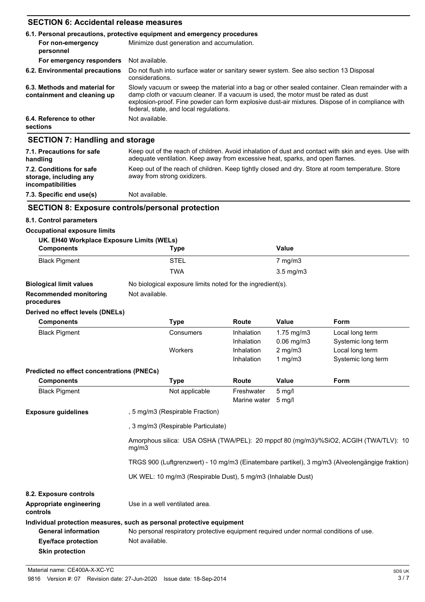## **SECTION 6: Accidental release measures**

|                                                              | 6.1. Personal precautions, protective equipment and emergency procedures                                                                                                                                                                                                                                                             |  |  |
|--------------------------------------------------------------|--------------------------------------------------------------------------------------------------------------------------------------------------------------------------------------------------------------------------------------------------------------------------------------------------------------------------------------|--|--|
| For non-emergency<br>personnel                               | Minimize dust generation and accumulation.                                                                                                                                                                                                                                                                                           |  |  |
| For emergency responders                                     | Not available.                                                                                                                                                                                                                                                                                                                       |  |  |
| 6.2. Environmental precautions                               | Do not flush into surface water or sanitary sewer system. See also section 13 Disposal<br>considerations.                                                                                                                                                                                                                            |  |  |
| 6.3. Methods and material for<br>containment and cleaning up | Slowly vacuum or sweep the material into a bag or other sealed container. Clean remainder with a<br>damp cloth or vacuum cleaner. If a vacuum is used, the motor must be rated as dust<br>explosion-proof. Fine powder can form explosive dust-air mixtures. Dispose of in compliance with<br>federal, state, and local regulations. |  |  |
| 6.4. Reference to other<br>sections                          | Not available.                                                                                                                                                                                                                                                                                                                       |  |  |
| <b>SECTION 7: Handling and storage</b>                       |                                                                                                                                                                                                                                                                                                                                      |  |  |
| 7.1. Precautions for safe<br>handling                        | Keep out of the reach of children. Avoid inhalation of dust and contact with skin and eyes. Use with<br>adequate ventilation. Keep away from excessive heat, sparks, and open flames.                                                                                                                                                |  |  |

| handling                                                                       | adequate ventilation. Keep away from excessive heat, sparks, and open flames.                                                   |
|--------------------------------------------------------------------------------|---------------------------------------------------------------------------------------------------------------------------------|
| 7.2. Conditions for safe<br>storage, including any<br><b>incompatibilities</b> | Keep out of the reach of children. Keep tightly closed and dry. Store at room temperature. Store<br>away from strong oxidizers. |

# **7.3. Specific end use(s)** Not available.

# **SECTION 8: Exposure controls/personal protection**

#### **8.1. Control parameters**

#### **Occupational exposure limits**

| UK. EH40 Workplace Exposure Limits (WELs) |             |                    |  |
|-------------------------------------------|-------------|--------------------|--|
| <b>Components</b>                         | <b>Type</b> | Value              |  |
| <b>Black Pigment</b>                      | <b>STEL</b> | $7 \text{ mg/m}$ 3 |  |
|                                           | <b>TWA</b>  | $3.5 \text{ mg/m}$ |  |
|                                           |             |                    |  |

# **Biological limit values** No biological exposure limits noted for the ingredient(s).

**Recommended monitoring** Not available.

# **procedures**

#### **Derived no effect levels (DNELs)**

| <b>Components</b>                                 | <b>Type</b>                                                                                    | <b>Route</b>                                                                         | <b>Value</b>                         | Form               |  |  |
|---------------------------------------------------|------------------------------------------------------------------------------------------------|--------------------------------------------------------------------------------------|--------------------------------------|--------------------|--|--|
| <b>Black Pigment</b>                              | Consumers                                                                                      | Inhalation                                                                           | $1.75$ mg/m $3$                      | Local long term    |  |  |
|                                                   |                                                                                                | Inhalation                                                                           | $0.06$ mg/m $3$                      | Systemic long term |  |  |
|                                                   | Workers                                                                                        | Inhalation                                                                           | $2$ mg/m $3$                         | Local long term    |  |  |
|                                                   |                                                                                                | Inhalation                                                                           | 1 $mg/m3$                            | Systemic long term |  |  |
| <b>Predicted no effect concentrations (PNECs)</b> |                                                                                                |                                                                                      |                                      |                    |  |  |
| <b>Components</b>                                 | Type                                                                                           | <b>Route</b>                                                                         | <b>Value</b>                         | <b>Form</b>        |  |  |
| <b>Black Pigment</b>                              | Not applicable                                                                                 | Freshwater<br>Marine water                                                           | $5 \text{ mg/l}$<br>$5 \text{ mq/l}$ |                    |  |  |
| <b>Exposure guidelines</b>                        | , 5 mg/m3 (Respirable Fraction)                                                                |                                                                                      |                                      |                    |  |  |
|                                                   |                                                                                                | , 3 mg/m3 (Respirable Particulate)                                                   |                                      |                    |  |  |
|                                                   | mg/m3                                                                                          | Amorphous silica: USA OSHA (TWA/PEL): 20 mppcf 80 (mg/m3)/%SiO2, ACGIH (TWA/TLV): 10 |                                      |                    |  |  |
|                                                   | TRGS 900 (Luftgrenzwert) - 10 mg/m3 (Einatembare partikel), 3 mg/m3 (Alveolengängige fraktion) |                                                                                      |                                      |                    |  |  |
|                                                   |                                                                                                | UK WEL: 10 mg/m3 (Respirable Dust), 5 mg/m3 (Inhalable Dust)                         |                                      |                    |  |  |
| 8.2. Exposure controls                            |                                                                                                |                                                                                      |                                      |                    |  |  |
| Appropriate engineering<br>controls               | Use in a well ventilated area.                                                                 |                                                                                      |                                      |                    |  |  |
|                                                   | Individual protection measures, such as personal protective equipment                          |                                                                                      |                                      |                    |  |  |
| <b>General information</b>                        | No personal respiratory protective equipment required under normal conditions of use.          |                                                                                      |                                      |                    |  |  |
| <b>Eye/face protection</b>                        | Not available.                                                                                 |                                                                                      |                                      |                    |  |  |
| <b>Skin protection</b>                            |                                                                                                |                                                                                      |                                      |                    |  |  |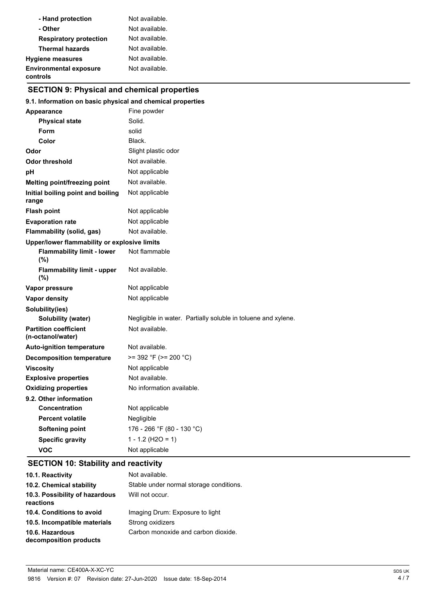| - Hand protection                         | Not available. |
|-------------------------------------------|----------------|
| - Other                                   | Not available. |
| <b>Respiratory protection</b>             | Not available. |
| <b>Thermal hazards</b>                    | Not available. |
| <b>Hygiene measures</b>                   | Not available. |
| <b>Environmental exposure</b><br>controls | Not available. |

# **SECTION 9: Physical and chemical properties**

### **9.1. Information on basic physical and chemical properties**

| <b>Appearance</b>                                 | Fine powder                                                   |  |
|---------------------------------------------------|---------------------------------------------------------------|--|
| <b>Physical state</b>                             | Solid.                                                        |  |
| Form                                              | solid                                                         |  |
| Color                                             | Black.                                                        |  |
| Odor                                              | Slight plastic odor                                           |  |
| <b>Odor threshold</b>                             | Not available.                                                |  |
| рH                                                | Not applicable                                                |  |
| <b>Melting point/freezing point</b>               | Not available.                                                |  |
| Initial boiling point and boiling<br>range        | Not applicable                                                |  |
| <b>Flash point</b>                                | Not applicable                                                |  |
| <b>Evaporation rate</b>                           | Not applicable                                                |  |
| Flammability (solid, gas)                         | Not available.                                                |  |
| Upper/lower flammability or explosive limits      |                                                               |  |
| <b>Flammability limit - lower</b><br>(%)          | Not flammable                                                 |  |
| <b>Flammability limit - upper</b><br>$(\%)$       | Not available.                                                |  |
| Vapor pressure                                    | Not applicable                                                |  |
| <b>Vapor density</b>                              | Not applicable                                                |  |
| Solubility(ies)                                   |                                                               |  |
| Solubility (water)                                | Negligible in water. Partially soluble in toluene and xylene. |  |
| <b>Partition coefficient</b><br>(n-octanol/water) | Not available.                                                |  |
| <b>Auto-ignition temperature</b>                  | Not available.                                                |  |
| <b>Decomposition temperature</b>                  | $>= 392 °F (= 200 °C)$                                        |  |
| <b>Viscosity</b>                                  | Not applicable                                                |  |
| <b>Explosive properties</b>                       | Not available.                                                |  |
| <b>Oxidizing properties</b>                       | No information available.                                     |  |
| 9.2. Other information                            |                                                               |  |
| <b>Concentration</b>                              | Not applicable                                                |  |
| <b>Percent volatile</b>                           | Negligible                                                    |  |
| <b>Softening point</b>                            | 176 - 266 °F (80 - 130 °C)                                    |  |
| <b>Specific gravity</b>                           | $1 - 1.2$ (H2O = 1)                                           |  |
| VOC                                               | Not applicable                                                |  |

# **SECTION 10: Stability and reactivity**

| 10.1. Reactivity                            | Not available.                          |
|---------------------------------------------|-----------------------------------------|
| 10.2. Chemical stability                    | Stable under normal storage conditions. |
| 10.3. Possibility of hazardous<br>reactions | Will not occur.                         |
| 10.4. Conditions to avoid                   | Imaging Drum: Exposure to light         |
| 10.5. Incompatible materials                | Strong oxidizers                        |
| 10.6. Hazardous<br>decomposition products   | Carbon monoxide and carbon dioxide.     |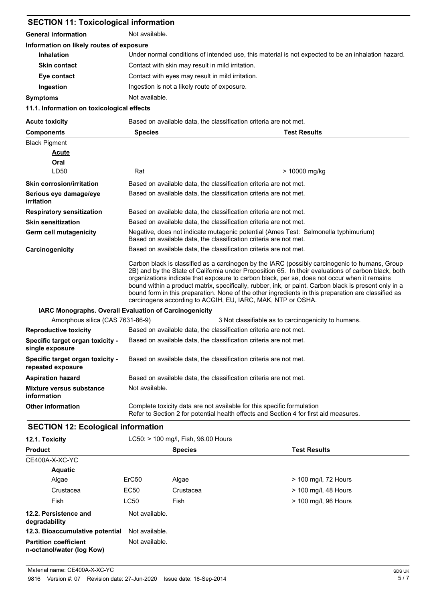| <b>SECTION 11: Toxicological information</b>                                            |                                                                                                                                                                                                                                                                                                                                                                                                                                                                                                                                                                                      |                     |  |  |
|-----------------------------------------------------------------------------------------|--------------------------------------------------------------------------------------------------------------------------------------------------------------------------------------------------------------------------------------------------------------------------------------------------------------------------------------------------------------------------------------------------------------------------------------------------------------------------------------------------------------------------------------------------------------------------------------|---------------------|--|--|
| <b>General information</b>                                                              | Not available.                                                                                                                                                                                                                                                                                                                                                                                                                                                                                                                                                                       |                     |  |  |
| Information on likely routes of exposure                                                |                                                                                                                                                                                                                                                                                                                                                                                                                                                                                                                                                                                      |                     |  |  |
| <b>Inhalation</b>                                                                       | Under normal conditions of intended use, this material is not expected to be an inhalation hazard.                                                                                                                                                                                                                                                                                                                                                                                                                                                                                   |                     |  |  |
| <b>Skin contact</b>                                                                     | Contact with skin may result in mild irritation.                                                                                                                                                                                                                                                                                                                                                                                                                                                                                                                                     |                     |  |  |
| Eye contact                                                                             | Contact with eyes may result in mild irritation.                                                                                                                                                                                                                                                                                                                                                                                                                                                                                                                                     |                     |  |  |
| Ingestion                                                                               | Ingestion is not a likely route of exposure.                                                                                                                                                                                                                                                                                                                                                                                                                                                                                                                                         |                     |  |  |
| <b>Symptoms</b>                                                                         | Not available.                                                                                                                                                                                                                                                                                                                                                                                                                                                                                                                                                                       |                     |  |  |
| 11.1. Information on toxicological effects                                              |                                                                                                                                                                                                                                                                                                                                                                                                                                                                                                                                                                                      |                     |  |  |
| <b>Acute toxicity</b>                                                                   | Based on available data, the classification criteria are not met.                                                                                                                                                                                                                                                                                                                                                                                                                                                                                                                    |                     |  |  |
| <b>Components</b>                                                                       | <b>Species</b>                                                                                                                                                                                                                                                                                                                                                                                                                                                                                                                                                                       | <b>Test Results</b> |  |  |
| <b>Black Pigment</b>                                                                    |                                                                                                                                                                                                                                                                                                                                                                                                                                                                                                                                                                                      |                     |  |  |
| <b>Acute</b>                                                                            |                                                                                                                                                                                                                                                                                                                                                                                                                                                                                                                                                                                      |                     |  |  |
| Oral                                                                                    |                                                                                                                                                                                                                                                                                                                                                                                                                                                                                                                                                                                      |                     |  |  |
| LD50                                                                                    | Rat                                                                                                                                                                                                                                                                                                                                                                                                                                                                                                                                                                                  | > 10000 mg/kg       |  |  |
| <b>Skin corrosion/irritation</b>                                                        | Based on available data, the classification criteria are not met.                                                                                                                                                                                                                                                                                                                                                                                                                                                                                                                    |                     |  |  |
| Serious eye damage/eye<br><i>irritation</i>                                             | Based on available data, the classification criteria are not met.                                                                                                                                                                                                                                                                                                                                                                                                                                                                                                                    |                     |  |  |
| <b>Respiratory sensitization</b>                                                        | Based on available data, the classification criteria are not met.                                                                                                                                                                                                                                                                                                                                                                                                                                                                                                                    |                     |  |  |
| <b>Skin sensitization</b>                                                               | Based on available data, the classification criteria are not met.                                                                                                                                                                                                                                                                                                                                                                                                                                                                                                                    |                     |  |  |
| Germ cell mutagenicity                                                                  | Negative, does not indicate mutagenic potential (Ames Test: Salmonella typhimurium)<br>Based on available data, the classification criteria are not met.                                                                                                                                                                                                                                                                                                                                                                                                                             |                     |  |  |
| Carcinogenicity                                                                         | Based on available data, the classification criteria are not met.                                                                                                                                                                                                                                                                                                                                                                                                                                                                                                                    |                     |  |  |
|                                                                                         | Carbon black is classified as a carcinogen by the IARC (possibly carcinogenic to humans, Group<br>2B) and by the State of California under Proposition 65. In their evaluations of carbon black, both<br>organizations indicate that exposure to carbon black, per se, does not occur when it remains<br>bound within a product matrix, specifically, rubber, ink, or paint. Carbon black is present only in a<br>bound form in this preparation. None of the other ingredients in this preparation are classified as<br>carcinogens according to ACGIH, EU, IARC, MAK, NTP or OSHA. |                     |  |  |
| IARC Monographs. Overall Evaluation of Carcinogenicity                                  |                                                                                                                                                                                                                                                                                                                                                                                                                                                                                                                                                                                      |                     |  |  |
| Amorphous silica (CAS 7631-86-9)<br>3 Not classifiable as to carcinogenicity to humans. |                                                                                                                                                                                                                                                                                                                                                                                                                                                                                                                                                                                      |                     |  |  |
| <b>Reproductive toxicity</b>                                                            | Based on available data, the classification criteria are not met.                                                                                                                                                                                                                                                                                                                                                                                                                                                                                                                    |                     |  |  |
| Specific target organ toxicity -<br>single exposure                                     | Based on available data, the classification criteria are not met.                                                                                                                                                                                                                                                                                                                                                                                                                                                                                                                    |                     |  |  |
| Specific target organ toxicity -<br>repeated exposure                                   | Based on available data, the classification criteria are not met.                                                                                                                                                                                                                                                                                                                                                                                                                                                                                                                    |                     |  |  |
| <b>Aspiration hazard</b>                                                                | Based on available data, the classification criteria are not met.                                                                                                                                                                                                                                                                                                                                                                                                                                                                                                                    |                     |  |  |
| <b>Mixture versus substance</b><br>information                                          | Not available.                                                                                                                                                                                                                                                                                                                                                                                                                                                                                                                                                                       |                     |  |  |
| <b>Other information</b>                                                                | Complete toxicity data are not available for this specific formulation<br>Refer to Section 2 for potential health effects and Section 4 for first aid measures.                                                                                                                                                                                                                                                                                                                                                                                                                      |                     |  |  |

# **SECTION 12: Ecological information**

| 12.1. Toxicity                                            |                   | LC50: > 100 mg/l, Fish, 96.00 Hours<br><b>Species</b> | <b>Test Results</b>    |
|-----------------------------------------------------------|-------------------|-------------------------------------------------------|------------------------|
| <b>Product</b>                                            |                   |                                                       |                        |
| CE400A-X-XC-YC                                            |                   |                                                       |                        |
| <b>Aquatic</b>                                            |                   |                                                       |                        |
| Algae                                                     | ErC <sub>50</sub> | Algae                                                 | > 100 mg/l, 72 Hours   |
| Crustacea                                                 | EC50              | Crustacea                                             | $>$ 100 mg/l, 48 Hours |
| Fish                                                      | <b>LC50</b>       | Fish                                                  | > 100 mg/l, 96 Hours   |
| 12.2. Persistence and<br>degradability                    | Not available.    |                                                       |                        |
| 12.3. Bioaccumulative potential                           | Not available.    |                                                       |                        |
| <b>Partition coefficient</b><br>n-octanol/water (log Kow) | Not available.    |                                                       |                        |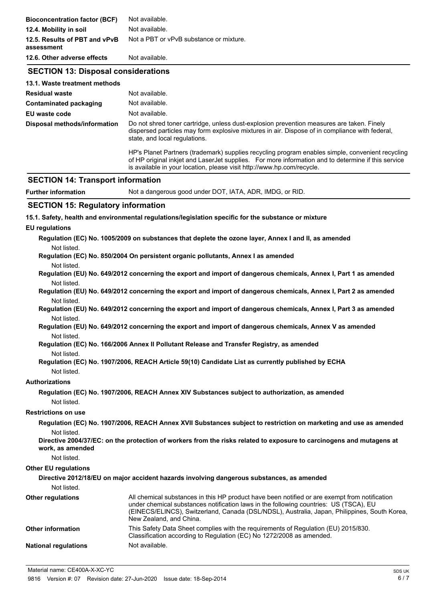| <b>Bioconcentration factor (BCF)</b>        | Not available.                                                                                                                                                                                                                                                                   |  |  |
|---------------------------------------------|----------------------------------------------------------------------------------------------------------------------------------------------------------------------------------------------------------------------------------------------------------------------------------|--|--|
| 12.4. Mobility in soil                      | Not available.<br>Not a PBT or vPvB substance or mixture.                                                                                                                                                                                                                        |  |  |
| 12.5. Results of PBT and vPvB<br>assessment |                                                                                                                                                                                                                                                                                  |  |  |
| 12.6. Other adverse effects                 | Not available.                                                                                                                                                                                                                                                                   |  |  |
| <b>SECTION 13: Disposal considerations</b>  |                                                                                                                                                                                                                                                                                  |  |  |
| 13.1. Waste treatment methods               |                                                                                                                                                                                                                                                                                  |  |  |
| <b>Residual waste</b>                       | Not available.                                                                                                                                                                                                                                                                   |  |  |
| <b>Contaminated packaging</b>               | Not available.                                                                                                                                                                                                                                                                   |  |  |
| EU waste code                               | Not available.                                                                                                                                                                                                                                                                   |  |  |
| Disposal methods/information                | Do not shred toner cartridge, unless dust-explosion prevention measures are taken. Finely<br>dispersed particles may form explosive mixtures in air. Dispose of in compliance with federal,<br>state, and local regulations.                                                     |  |  |
|                                             | HP's Planet Partners (trademark) supplies recycling program enables simple, convenient recycling<br>of HP original inkjet and LaserJet supplies. For more information and to determine if this service<br>is available in your location, please visit http://www.hp.com/recycle. |  |  |
| <b>SECTION 14: Transport information</b>    |                                                                                                                                                                                                                                                                                  |  |  |
| <b>Further information</b>                  | Not a dangerous good under DOT, IATA, ADR, IMDG, or RID.                                                                                                                                                                                                                         |  |  |
| <b>SECTION 15: Regulatory information</b>   |                                                                                                                                                                                                                                                                                  |  |  |
|                                             | 15.1. Safety, health and environmental regulations/legislation specific for the substance or mixture                                                                                                                                                                             |  |  |
| <b>EU</b> regulations                       |                                                                                                                                                                                                                                                                                  |  |  |
|                                             | Regulation (EC) No. 1005/2009 on substances that deplete the ozone layer, Annex I and II, as amended                                                                                                                                                                             |  |  |
| Not listed.                                 |                                                                                                                                                                                                                                                                                  |  |  |
|                                             | Regulation (EC) No. 850/2004 On persistent organic pollutants, Annex I as amended                                                                                                                                                                                                |  |  |
| Not listed.                                 |                                                                                                                                                                                                                                                                                  |  |  |
|                                             | Regulation (EU) No. 649/2012 concerning the export and import of dangerous chemicals, Annex I, Part 1 as amended                                                                                                                                                                 |  |  |
| Not listed.                                 |                                                                                                                                                                                                                                                                                  |  |  |
|                                             | Regulation (EU) No. 649/2012 concerning the export and import of dangerous chemicals, Annex I, Part 2 as amended                                                                                                                                                                 |  |  |
| Not listed.                                 | Regulation (EU) No. 649/2012 concerning the export and import of dangerous chemicals, Annex I, Part 3 as amended                                                                                                                                                                 |  |  |
| Not listed.                                 |                                                                                                                                                                                                                                                                                  |  |  |
|                                             | Regulation (EU) No. 649/2012 concerning the export and import of dangerous chemicals, Annex V as amended                                                                                                                                                                         |  |  |
| Not listed.                                 |                                                                                                                                                                                                                                                                                  |  |  |

**Regulation (EC) No. 166/2006 Annex II Pollutant Release and Transfer Registry, as amended** Not listed.

```
Regulation (EC) No. 1907/2006, REACH Article 59(10) Candidate List as currently published by ECHA
Not listed.
```
## **Authorizations**

```
Regulation (EC) No. 1907/2006, REACH Annex XIV Substances subject to authorization, as amended
Not listed.
```
#### **Restrictions on use**

**Regulation (EC) No. 1907/2006, REACH Annex XVII Substances subject to restriction on marketing and use as amended** Not listed.

**Directive 2004/37/EC: on the protection of workers from the risks related to exposure to carcinogens and mutagens at work, as amended**

Not listed.

#### **Other EU regulations**

|                             | Directive 2012/18/EU on major accident hazards involving dangerous substances, as amended                                                                                                                                                                                                                         |
|-----------------------------|-------------------------------------------------------------------------------------------------------------------------------------------------------------------------------------------------------------------------------------------------------------------------------------------------------------------|
| Not listed.                 |                                                                                                                                                                                                                                                                                                                   |
| <b>Other regulations</b>    | All chemical substances in this HP product have been notified or are exempt from notification<br>under chemical substances notification laws in the following countries: US (TSCA), EU<br>(EINECS/ELINCS), Switzerland, Canada (DSL/NDSL), Australia, Japan, Philippines, South Korea,<br>New Zealand, and China. |
| <b>Other information</b>    | This Safety Data Sheet complies with the requirements of Regulation (EU) 2015/830.<br>Classification according to Regulation (EC) No 1272/2008 as amended.                                                                                                                                                        |
| <b>National regulations</b> | Not available.                                                                                                                                                                                                                                                                                                    |